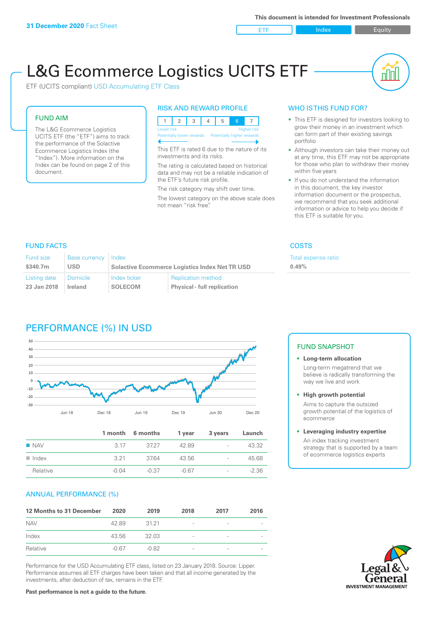ETF Index Buity

nN

# L&G Ecommerce Logistics UCITS ETF

ETF (UCITS compliant) USD Accumulating ETF Class

### FUND AIM

The L&G Ecommerce Logistics UCITS ETF (the "ETF") aims to track the performance of the Solactive Ecommerce Logistics Index (the "Index"). More information on the Index can be found on page 2 of this document.

### RISK AND REWARD PROFILE



This ETF is rated 6 due to the nature of its investments and its risks.

The rating is calculated based on historical data and may not be a reliable indication of the ETF's future risk profile.

The risk category may shift over time. The lowest category on the above scale does not mean "risk free".

### WHO IS THIS FUND FOR?

- This ETF is designed for investors looking to grow their money in an investment which can form part of their existing savings portfolio
- Although investors can take their money out at any time, this ETF may not be appropriate for those who plan to withdraw their money within five years
- If you do not understand the information in this document, the key investor information document or the prospectus, we recommend that you seek additional information or advice to help you decide if this ETF is suitable for you.

**0.49%**

Total expense ratio

### FUND FACTS COSTS

| Fund size    | <b>Base currency</b> | Index                                                 |                                    |  |
|--------------|----------------------|-------------------------------------------------------|------------------------------------|--|
| \$340.7m     | <b>USD</b>           | <b>Solactive Ecommerce Logistics Index Net TR USD</b> |                                    |  |
| Listing date | ∣ Domicile ∶         | Index ticker                                          | <b>Replication method</b>          |  |
| 23 Jan 2018  | <b>Ireland</b>       | <b>SOLECOM</b>                                        | <b>Physical - full replication</b> |  |

### PERFORMANCE (%) IN USD



|                      |         | 1 month 6 months | 1 year  | 3 years                  | Launch  |
|----------------------|---------|------------------|---------|--------------------------|---------|
| $\blacksquare$ NAV   | 3.17    | 3727             | 4289    | $\overline{\phantom{a}}$ | 43.32   |
| $\blacksquare$ Index | 3.21    | 3764             | 43.56   | $\overline{\phantom{a}}$ | 45.68   |
| Relative             | $-0.04$ | -0.37            | $-0.67$ | $\overline{\phantom{a}}$ | $-2.36$ |

### ANNUAL PERFORMANCE (%)

| 12 Months to 31 December | 2020    | 2019    | 2018                     | 2017                     | 2016 |
|--------------------------|---------|---------|--------------------------|--------------------------|------|
| <b>NAV</b>               | 42.89   | 31 21   | $\overline{\phantom{a}}$ | -                        |      |
| Index                    | 43.56   | 32.03   | -                        | -                        |      |
| Relative                 | $-0.67$ | $-0.82$ | $\overline{\phantom{a}}$ | $\overline{\phantom{a}}$ |      |

Performance for the USD Accumulating ETF class, listed on 23 January 2018. Source: Lipper. Performance assumes all ETF charges have been taken and that all income generated by the investments, after deduction of tax, remains in the ETF.

### FUND SNAPSHOT

- **• Long-term allocation** Long-term megatrend that we believe is radically transforming the way we live and work
- **• High growth potential**

Aims to capture the outsized growth potential of the logistics of ecommerce

#### **• Leveraging industry expertise**

An index tracking investment strategy that is supported by a team of ecommerce logistics experts

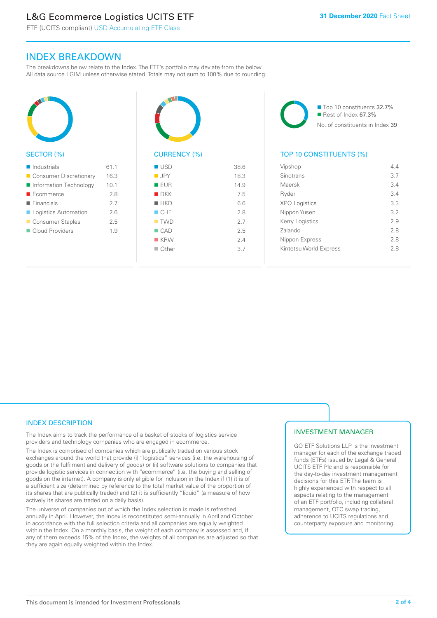### L&G Ecommerce Logistics UCITS ETF

ETF (UCITS compliant) USD Accumulating ETF Class

### INDEX BREAKDOWN

The breakdowns below relate to the Index. The ETF's portfolio may deviate from the below. All data source LGIM unless otherwise stated. Totals may not sum to 100% due to rounding.



#### SECTOR (%)

| $\blacksquare$ Industrials | 61.1 |
|----------------------------|------|
| ■ Consumer Discretionary   | 16.3 |
| Information Technology     | 10.1 |
| $\blacksquare$ Ecommerce   | 2.8  |
| $\blacksquare$ Financials  | 2.7  |
| Logistics Automation       | 2.6  |
| ■ Consumer Staples         | 2.5  |
| Cloud Providers            | 1.9  |
|                            |      |



## CURRENCY (%)

| <b>USD</b>         | 38.6 |
|--------------------|------|
| $\blacksquare$ JPY | 18.3 |
| <b>EUR</b>         | 14.9 |
| $\blacksquare$ DKK | 7.5  |
| $H$ HKD            | 6.6  |
| CHF                | 2.8  |
| $\blacksquare$ TWD | 2.7  |
| $\Box$ CAD         | 2.5  |
| $K$ KRW            | 24   |
| $\Box$ Other       | 3.7  |
|                    |      |

■ Top 10 constituents 32.7% Rest of Index 67.3% No. of constituents in Index 39

### TOP 10 CONSTITUENTS (%)

| Vipshop                | 44  |
|------------------------|-----|
| Sinotrans              | 37  |
| Maersk                 | 3.4 |
| Ryder                  | 3.4 |
| <b>XPO Logistics</b>   | 3.3 |
| Nippon Yusen           | 32  |
| Kerry Logistics        | 2.9 |
| Zalando                | 28  |
| Nippon Express         | 28  |
| Kintetsu World Express | 28  |
|                        |     |

### INDEX DESCRIPTION

The Index aims to track the performance of a basket of stocks of logistics service providers and technology companies who are engaged in ecommerce.

The Index is comprised of companies which are publically traded on various stock exchanges around the world that provide (i) "logistics" services (i.e. the warehousing of goods or the fulfilment and delivery of goods) or (ii) software solutions to companies that provide logistic services in connection with "ecommerce" (i.e. the buying and selling of goods on the internet). A company is only eligible for inclusion in the Index if (1) it is of a sufficient size (determined by reference to the total market value of the proportion of its shares that are publically traded) and (2) it is sufficiently "liquid" (a measure of how actively its shares are traded on a daily basis).

The universe of companies out of which the Index selection is made is refreshed annually in April. However, the Index is reconstituted semi-annually in April and October in accordance with the full selection criteria and all companies are equally weighted within the Index. On a monthly basis, the weight of each company is assessed and, if any of them exceeds 15% of the Index, the weights of all companies are adjusted so that they are again equally weighted within the Index.

### INVESTMENT MANAGER

GO ETF Solutions LLP is the investment manager for each of the exchange traded funds (ETFs) issued by Legal & General UCITS ETF Plc and is responsible for the day-to-day investment management decisions for this ETF. The team is highly experienced with respect to all aspects relating to the management of an ETF portfolio, including collateral management, OTC swap trading, adherence to UCITS regulations and counterparty exposure and monitoring.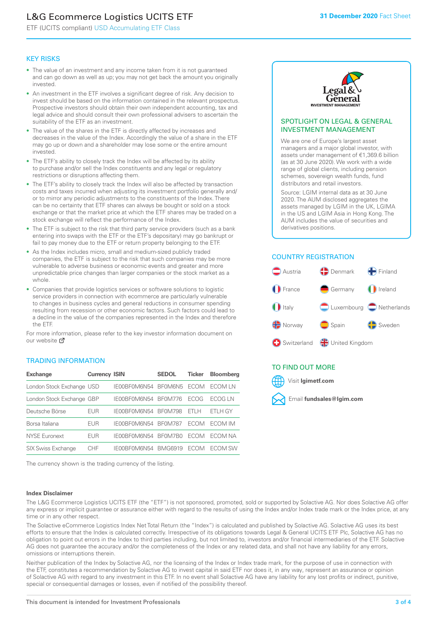### L&G Ecommerce Logistics UCITS ETF

ETF (UCITS compliant) USD Accumulating ETF Class

### KEY RISKS

- The value of an investment and any income taken from it is not guaranteed and can go down as well as up; you may not get back the amount you originally invested.
- An investment in the ETF involves a significant degree of risk. Any decision to invest should be based on the information contained in the relevant prospectus. Prospective investors should obtain their own independent accounting, tax and legal advice and should consult their own professional advisers to ascertain the suitability of the ETF as an investment.
- The value of the shares in the ETF is directly affected by increases and decreases in the value of the Index. Accordingly the value of a share in the ETF may go up or down and a shareholder may lose some or the entire amount invested.
- The ETF's ability to closely track the Index will be affected by its ability to purchase and/or sell the Index constituents and any legal or regulatory restrictions or disruptions affecting them.
- The ETF's ability to closely track the Index will also be affected by transaction costs and taxes incurred when adjusting its investment portfolio generally and/ or to mirror any periodic adjustments to the constituents of the Index. There can be no certainty that ETF shares can always be bought or sold on a stock exchange or that the market price at which the ETF shares may be traded on a stock exchange will reflect the performance of the Index.
- The ETF is subject to the risk that third party service providers (such as a bank entering into swaps with the ETF or the ETF's depositary) may go bankrupt or fail to pay money due to the ETF or return property belonging to the ETF.
- As the Index includes micro, small and medium-sized publicly traded companies, the ETF is subject to the risk that such companies may be more vulnerable to adverse business or economic events and greater and more unpredictable price changes than larger companies or the stock market as a whole.
- Companies that provide logistics services or software solutions to logistic service providers in connection with ecommerce are particularly vulnerable to changes in business cycles and general reductions in consumer spending resulting from recession or other economic factors. Such factors could lead to a decline in the value of the companies represented in the Index and therefore the ETF.

For more in[form](https://www.lgimetf.com/)ation, please refer to the key investor information document on our website Ø

### TRADING INFORMATION

| <b>Exchange</b>           | <b>Currency ISIN</b> |              | <b>SEDOL</b>   | <b>Ticker</b> | <b>Bloomberg</b> |
|---------------------------|----------------------|--------------|----------------|---------------|------------------|
| London Stock Exchange USD |                      | IE00BF0M6N54 | BF0M6N5        | <b>FCOM</b>   | ECOM I N         |
| London Stock Exchange GBP |                      | IE00BF0M6N54 | <b>BF0M776</b> | <b>FCOG</b>   | FCOG I N         |
| Deutsche Börse            | EUR                  | IE00BF0M6N54 | <b>BF0M798</b> | FTI H         | ETLH GY          |
| Borsa Italiana            | EUR                  | IE00BF0M6N54 | <b>BF0M787</b> | <b>FCOM</b>   | <b>FCOM IM</b>   |
| NYSE Euronext             | EUR                  | IF00BF0M6N54 | BE0M7B0        | <b>ECOM</b>   | FCOM NA          |
| <b>SIX Swiss Exchange</b> | CHE                  | IF00BF0M6N54 | <b>BMG6919</b> | <b>FCOM</b>   | <b>FCOM SW</b>   |

The currency shown is the trading currency of the listing.

#### **Index Disclaimer**



#### SPOTLIGHT ON LEGAL & GENERAL INVESTMENT MANAGEMENT

We are one of Europe's largest asset managers and a major global investor, with assets under management of €1,369.6 billion (as at 30 June 2020). We work with a wide range of global clients, including pension schemes, sovereign wealth funds, fund distributors and retail investors.

Source: LGIM internal data as at 30 June 2020. The AUM disclosed aggregates the assets managed by LGIM in the UK, LGIMA in the US and LGIM Asia in Hong Kong. The AUM includes the value of securities and derivatives positions.

### COUNTRY REGISTRATION



### TO FIND OUT MORE



The L&G Ecommerce Logistics UCITS ETF (the "ETF") is not sponsored, promoted, sold or supported by Solactive AG. Nor does Solactive AG offer any express or implicit guarantee or assurance either with regard to the results of using the Index and/or Index trade mark or the Index price, at any time or in any other respect.

The Solactive eCommerce Logistics Index Net Total Return (the "Index") is calculated and published by Solactive AG. Solactive AG uses its best efforts to ensure that the Index is calculated correctly. Irrespective of its obligations towards Legal & General UCITS ETF Plc, Solactive AG has no obligation to point out errors in the Index to third parties including, but not limited to, investors and/or financial intermediaries of the ETF. Solactive AG does not guarantee the accuracy and/or the completeness of the Index or any related data, and shall not have any liability for any errors, omissions or interruptions therein.

Neither publication of the Index by Solactive AG, nor the licensing of the Index or Index trade mark, for the purpose of use in connection with the ETF, constitutes a recommendation by Solactive AG to invest capital in said ETF nor does it, in any way, represent an assurance or opinion of Solactive AG with regard to any investment in this ETF. In no event shall Solactive AG have any liability for any lost profits or indirect, punitive, special or consequential damages or losses, even if notified of the possibility thereof.